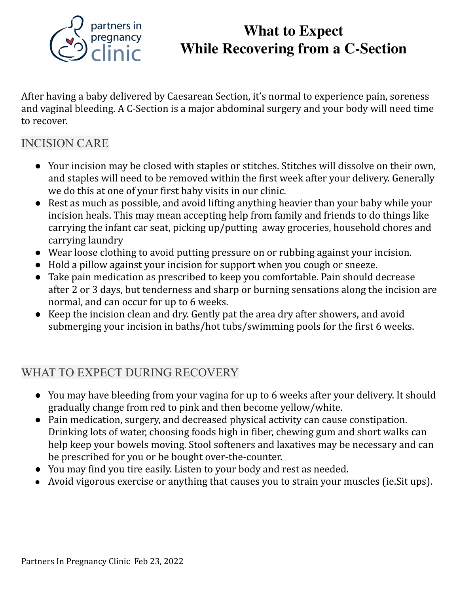

# **What to Expect While Recovering from a C-Section**

After having a baby delivered by Caesarean Section, it's normal to experience pain, soreness and vaginal bleeding. A C-Section is a major abdominal surgery and your body will need time to recover.

## INCISION CARE

- Your incision may be closed with staples or stitches. Stitches will dissolve on their own, and staples will need to be removed within the first week after your delivery. Generally we do this at one of your first baby visits in our clinic.
- Rest as much as possible, and avoid lifting anything heavier than your baby while your incision heals. This may mean accepting help from family and friends to do things like carrying the infant car seat, picking up/putting away groceries, household chores and carrying laundry
- Wear loose clothing to avoid putting pressure on or rubbing against your incision.
- Hold a pillow against your incision for support when you cough or sneeze.
- Take pain medication as prescribed to keep you comfortable. Pain should decrease after 2 or 3 days, but tenderness and sharp or burning sensations along the incision are normal, and can occur for up to 6 weeks.
- Keep the incision clean and dry. Gently pat the area dry after showers, and avoid submerging your incision in baths/hot tubs/swimming pools for the first 6 weeks.

### WHAT TO EXPECT DURING RECOVERY

- You may have bleeding from your vagina for up to 6 weeks after your delivery. It should gradually change from red to pink and then become yellow/white.
- Pain medication, surgery, and decreased physical activity can cause constipation. Drinking lots of water, choosing foods high in fiber, chewing gum and short walks can help keep your bowels moving. Stool softeners and laxatives may be necessary and can be prescribed for you or be bought over-the-counter.
- You may find you tire easily. Listen to your body and rest as needed.
- Avoid vigorous exercise or anything that causes you to strain your muscles (ie.Sit ups).